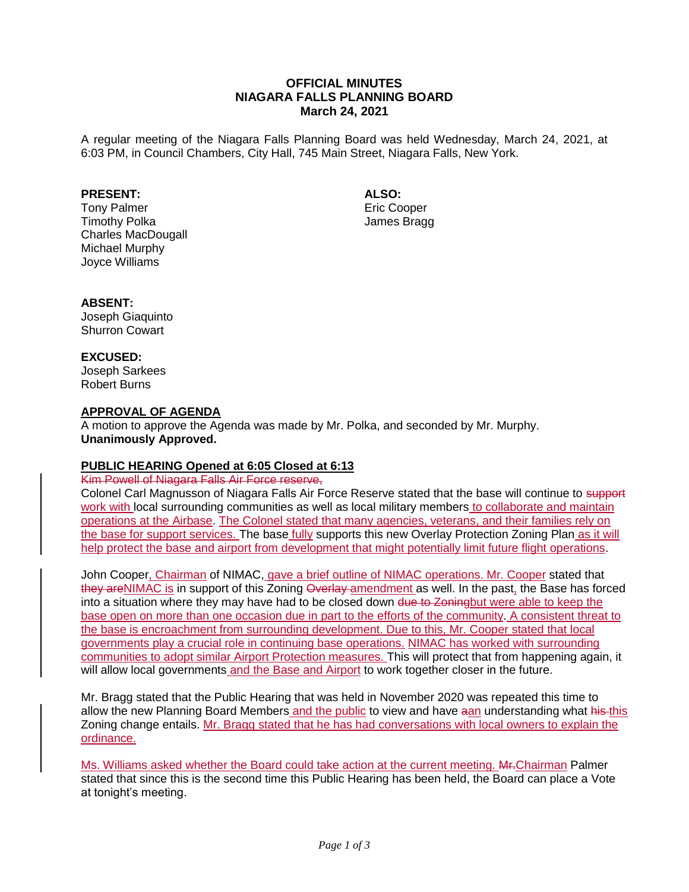## **OFFICIAL MINUTES NIAGARA FALLS PLANNING BOARD March 24, 2021**

A regular meeting of the Niagara Falls Planning Board was held Wednesday, March 24, 2021, at 6:03 PM, in Council Chambers, City Hall, 745 Main Street, Niagara Falls, New York.

## **PRESENT:**

Tony Palmer Timothy Polka Charles MacDougall Michael Murphy Joyce Williams

**ALSO:**

Eric Cooper James Bragg

## **ABSENT:**

Joseph Giaquinto Shurron Cowart

### **EXCUSED:**

Joseph Sarkees Robert Burns

### **APPROVAL OF AGENDA**

A motion to approve the Agenda was made by Mr. Polka, and seconded by Mr. Murphy. **Unanimously Approved.**

## **PUBLIC HEARING Opened at 6:05 Closed at 6:13**

## Kim Powell of Niagara Falls Air Force reserve,

Colonel Carl Magnusson of Niagara Falls Air Force Reserve stated that the base will continue to support work with local surrounding communities as well as local military members to collaborate and maintain operations at the Airbase. The Colonel stated that many agencies, veterans, and their families rely on the base for support services. The base fully supports this new Overlay Protection Zoning Plan as it will help protect the base and airport from development that might potentially limit future flight operations.

John Cooper, Chairman of NIMAC, gave a brief outline of NIMAC operations. Mr. Cooper stated that they areNIMAC is in support of this Zoning Overlay amendment as well. In the past, the Base has forced into a situation where they may have had to be closed down due to Zoningbut were able to keep the base open on more than one occasion due in part to the efforts of the community. A consistent threat to the base is encroachment from surrounding development. Due to this, Mr. Cooper stated that local governments play a crucial role in continuing base operations. NIMAC has worked with surrounding communities to adopt similar Airport Protection measures. This will protect that from happening again, it will allow local governments and the Base and Airport to work together closer in the future.

Mr. Bragg stated that the Public Hearing that was held in November 2020 was repeated this time to allow the new Planning Board Members and the public to view and have aan understanding what his this Zoning change entails. Mr. Bragg stated that he has had conversations with local owners to explain the ordinance.

Ms. Williams asked whether the Board could take action at the current meeting. Mr.Chairman Palmer stated that since this is the second time this Public Hearing has been held, the Board can place a Vote at tonight's meeting.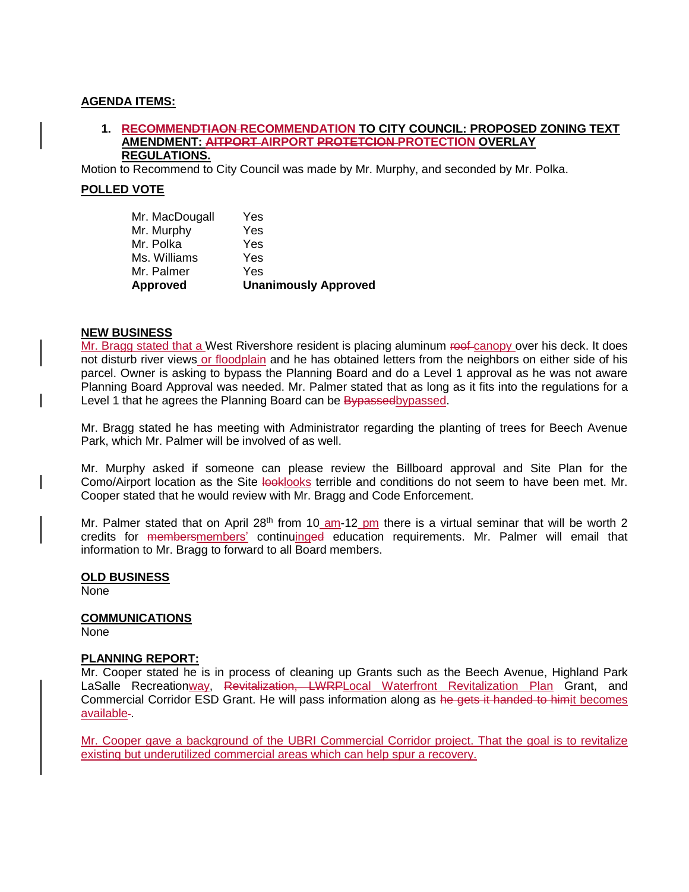### **AGENDA ITEMS:**

#### **1. RECOMMENDTIAON RECOMMENDATION TO CITY COUNCIL: PROPOSED ZONING TEXT AMENDMENT: AITPORT AIRPORT PROTETCION PROTECTION OVERLAY REGULATIONS.**

Motion to Recommend to City Council was made by Mr. Murphy, and seconded by Mr. Polka.

### **POLLED VOTE**

| <b>Approved</b> | <b>Unanimously Approved</b> |
|-----------------|-----------------------------|
| Mr. Palmer      | Yes                         |
| Ms. Williams    | Yes                         |
| Mr. Polka       | Yes                         |
| Mr. Murphy      | Yes                         |
| Mr. MacDougall  | Yes                         |

#### **NEW BUSINESS**

Mr. Bragg stated that a West Rivershore resident is placing aluminum roof canopy over his deck. It does not disturb river views or floodplain and he has obtained letters from the neighbors on either side of his parcel. Owner is asking to bypass the Planning Board and do a Level 1 approval as he was not aware Planning Board Approval was needed. Mr. Palmer stated that as long as it fits into the regulations for a Level 1 that he agrees the Planning Board can be Bypassedbypassed.

Mr. Bragg stated he has meeting with Administrator regarding the planting of trees for Beech Avenue Park, which Mr. Palmer will be involved of as well.

Mr. Murphy asked if someone can please review the Billboard approval and Site Plan for the Como/Airport location as the Site looklooks terrible and conditions do not seem to have been met. Mr. Cooper stated that he would review with Mr. Bragg and Code Enforcement.

Mr. Palmer stated that on April 28<sup>th</sup> from 10 am-12 pm there is a virtual seminar that will be worth 2 credits for membersmembers' continuinged education requirements. Mr. Palmer will email that information to Mr. Bragg to forward to all Board members.

## **OLD BUSINESS**

None

# **COMMUNICATIONS**

None

#### **PLANNING REPORT:**

Mr. Cooper stated he is in process of cleaning up Grants such as the Beech Avenue, Highland Park LaSalle Recreationway, Revitalization, LWRPLocal Waterfront Revitalization Plan Grant, and Commercial Corridor ESD Grant. He will pass information along as he gets it handed to himit becomes available-

Mr. Cooper gave a background of the UBRI Commercial Corridor project. That the goal is to revitalize existing but underutilized commercial areas which can help spur a recovery.